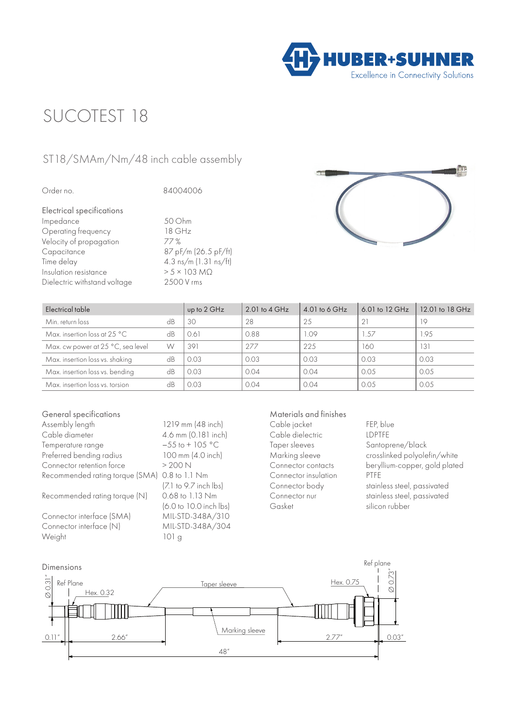

## SUCOTEST 18

## ST18/SMAm/Nm/48 inch cable assembly

| 50 Ohm                      |
|-----------------------------|
| 18 GHz                      |
| 77%                         |
| 87 pF/m (26.5 pF/ft)        |
| 4.3 ns/m (1.31 ns/ft)       |
| $> 5 \times 103$ M $\Omega$ |
| 2500 V rms                  |
|                             |



| Electrical table                       |    | up to 2 GHz | 2.01 to $4 \text{ GHz}$ | 4.01 to 6 GHz | 6.01 to 12 GHz | 12.01 to 18 GHz |
|----------------------------------------|----|-------------|-------------------------|---------------|----------------|-----------------|
| Min. return loss                       | dB | 30          | 28                      | 25            | 21             | 19              |
| Max. insertion loss at 25 $^{\circ}$ C | dB | 0.61        | 0.88                    | 1.09          | 1.57           | 1.95            |
| Max. cw power at 25 °C, sea level      | W  | 391         | 277                     | 225           | 160            | 131             |
| Max. insertion loss vs. shaking        | dB | 0.03        | 0.03                    | 0.03          | 0.03           | 0.03            |
| Max. insertion loss vs. bending        | dB | 0.03        | 0.04                    | 0.04          | 0.05           | 0.05            |
| Max. insertion loss vs. torsion        | dB | 0.03        | 0.04                    | 0.04          | 0.05           | 0.05            |

| General specifications          |                          |
|---------------------------------|--------------------------|
| Assembly length                 | 1219 mm (48 inch)        |
| Cable diameter                  | 4.6 mm (0.181 inch)      |
| Temperature range               | $-55$ to + 105 °C        |
| Preferred bending radius        | 100 mm (4.0 inch)        |
| Connector retention force       | > 200N                   |
| Recommended rating torque (SMA) | $0.8$ to $1.1$ Nm        |
|                                 | $[7]$ to 9.7 inch $ bs $ |
| Recommended rating torque (N)   | 0.68 to 1.13 Nm          |
|                                 | (6.0 to 10.0 inch lbs)   |
| Connector interface (SMA)       | MIL-STD-348A/310         |
| Connector interface (N)         | MIL-STD-348A/304         |
| Weight                          | 101 <sub>g</sub>         |

## Materials and finishes

Cable jacket FEP, blue Cable dielectric<br>Taper sleeves Connector insulation

Santoprene/black Marking sleeve crosslinked polyolefin/white<br>Connector contacts beryllium-copper, gold plate beryllium-copper, gold plated<br>PTFE Connector body stainless steel, passivated Connector nur stainless steel, passivated<br>
Gasket silicon rubber silicon rubber